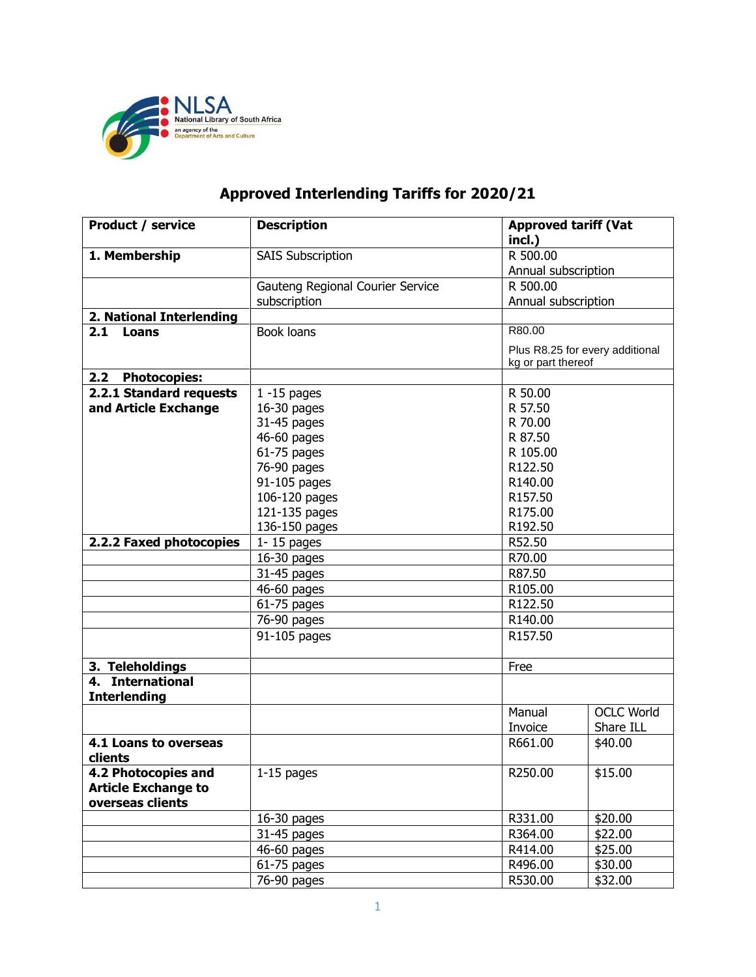

## **Approved Interlending Tariffs for 2020/21**

| <b>Product / service</b>                | <b>Description</b>               | <b>Approved tariff (Vat</b><br>incl.) |                   |  |
|-----------------------------------------|----------------------------------|---------------------------------------|-------------------|--|
| 1. Membership                           | <b>SAIS Subscription</b>         | R 500.00                              |                   |  |
|                                         |                                  | Annual subscription                   |                   |  |
|                                         | Gauteng Regional Courier Service | R 500.00                              |                   |  |
|                                         | subscription                     | Annual subscription                   |                   |  |
| 2. National Interlending                |                                  |                                       |                   |  |
| 2.1 Loans                               | Book loans                       | R80.00                                |                   |  |
|                                         |                                  | Plus R8.25 for every additional       |                   |  |
|                                         |                                  | kg or part thereof                    |                   |  |
| 2.2<br><b>Photocopies:</b>              |                                  |                                       |                   |  |
| 2.2.1 Standard requests                 | $1 - 15$ pages                   | R 50.00                               |                   |  |
| and Article Exchange                    | 16-30 pages                      | R 57.50                               |                   |  |
|                                         | 31-45 pages                      | R 70.00                               |                   |  |
|                                         | 46-60 pages                      |                                       | R 87.50           |  |
|                                         | 61-75 pages                      | R 105.00                              |                   |  |
|                                         | 76-90 pages                      | R122.50                               |                   |  |
|                                         | 91-105 pages                     | R140.00                               |                   |  |
|                                         | 106-120 pages                    | R157.50                               |                   |  |
|                                         | 121-135 pages                    | R175.00                               |                   |  |
|                                         | 136-150 pages                    | R192.50                               |                   |  |
| 2.2.2 Faxed photocopies                 | $1 - 15$ pages                   |                                       | R52.50            |  |
|                                         | 16-30 pages                      | R70.00                                |                   |  |
|                                         | 31-45 pages                      | R87.50                                |                   |  |
|                                         | 46-60 pages                      | R105.00                               |                   |  |
|                                         | $61-75$ pages                    |                                       | R122.50           |  |
|                                         | 76-90 pages                      |                                       | R140.00           |  |
|                                         | 91-105 pages                     |                                       | R157.50           |  |
| 3. Teleholdings                         |                                  | Free                                  |                   |  |
| 4. International<br><b>Interlending</b> |                                  |                                       |                   |  |
|                                         |                                  | Manual                                | <b>OCLC World</b> |  |
|                                         |                                  | Invoice                               | Share ILL         |  |
| 4.1 Loans to overseas                   |                                  | R661.00                               | \$40.00           |  |
| clients                                 |                                  |                                       |                   |  |
| 4.2 Photocopies and                     | $1-15$ pages                     | R250.00                               | \$15.00           |  |
| <b>Article Exchange to</b>              |                                  |                                       |                   |  |
| overseas clients                        |                                  |                                       |                   |  |
|                                         | 16-30 pages                      | R331.00                               | \$20.00           |  |
|                                         | 31-45 pages                      | R364.00                               | \$22.00           |  |
|                                         | 46-60 pages                      | R414.00                               | \$25.00           |  |
|                                         | $61-75$ pages                    | R496.00                               | \$30.00           |  |
|                                         | 76-90 pages                      | R530.00                               | \$32.00           |  |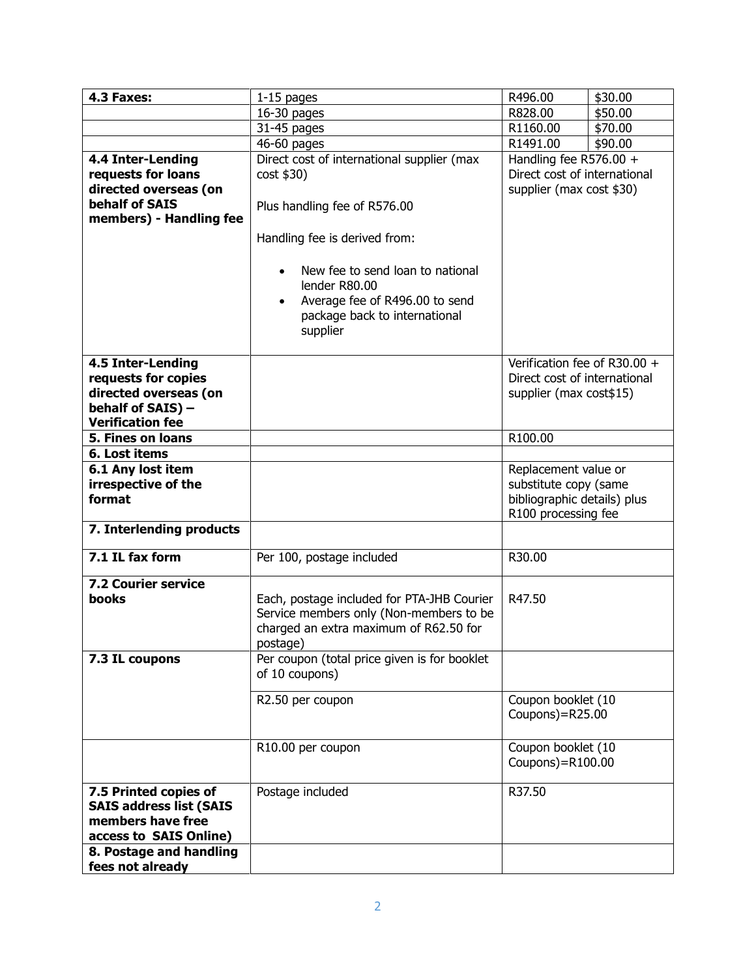| 4.3 Faxes:                     | $1-15$ pages                                  | R496.00                                       | \$30.00 |
|--------------------------------|-----------------------------------------------|-----------------------------------------------|---------|
|                                | $16-30$ pages                                 | R828.00                                       | \$50.00 |
|                                | 31-45 pages                                   | R1160.00                                      | \$70.00 |
|                                | 46-60 pages                                   | R1491.00                                      | \$90.00 |
| 4.4 Inter-Lending              | Direct cost of international supplier (max    | Handling fee R576.00 +                        |         |
| requests for loans             | cost \$30)                                    | Direct cost of international                  |         |
| directed overseas (on          |                                               |                                               |         |
|                                |                                               | supplier (max cost \$30)                      |         |
| behalf of SAIS                 | Plus handling fee of R576.00                  |                                               |         |
| members) - Handling fee        |                                               |                                               |         |
|                                | Handling fee is derived from:                 |                                               |         |
|                                |                                               |                                               |         |
|                                | New fee to send loan to national<br>$\bullet$ |                                               |         |
|                                | lender R80.00                                 |                                               |         |
|                                | Average fee of R496.00 to send<br>$\bullet$   |                                               |         |
|                                | package back to international                 |                                               |         |
|                                | supplier                                      |                                               |         |
|                                |                                               |                                               |         |
| 4.5 Inter-Lending              |                                               | Verification fee of R30.00 +                  |         |
| requests for copies            |                                               | Direct cost of international                  |         |
| directed overseas (on          |                                               | supplier (max cost \$15)                      |         |
| behalf of SAIS) -              |                                               |                                               |         |
| <b>Verification fee</b>        |                                               |                                               |         |
| 5. Fines on loans              |                                               | R100.00                                       |         |
| 6. Lost items                  |                                               |                                               |         |
|                                |                                               |                                               |         |
| 6.1 Any lost item              |                                               | Replacement value or<br>substitute copy (same |         |
| irrespective of the            |                                               |                                               |         |
| format                         |                                               | bibliographic details) plus                   |         |
|                                |                                               | R100 processing fee                           |         |
| 7. Interlending products       |                                               |                                               |         |
| 7.1 IL fax form                | Per 100, postage included                     | R30.00                                        |         |
| 7.2 Courier service            |                                               |                                               |         |
| <b>books</b>                   | Each, postage included for PTA-JHB Courier    | R47.50                                        |         |
|                                | Service members only (Non-members to be       |                                               |         |
|                                | charged an extra maximum of R62.50 for        |                                               |         |
|                                | postage)                                      |                                               |         |
| 7.3 IL coupons                 | Per coupon (total price given is for booklet  |                                               |         |
|                                | of 10 coupons)                                |                                               |         |
|                                |                                               |                                               |         |
|                                | R2.50 per coupon                              | Coupon booklet (10                            |         |
|                                |                                               | Coupons)=R25.00                               |         |
|                                |                                               |                                               |         |
|                                | R10.00 per coupon                             | Coupon booklet (10                            |         |
|                                |                                               | Coupons)=R100.00                              |         |
|                                |                                               |                                               |         |
| 7.5 Printed copies of          | Postage included                              | R37.50                                        |         |
| <b>SAIS address list (SAIS</b> |                                               |                                               |         |
| members have free              |                                               |                                               |         |
| access to SAIS Online)         |                                               |                                               |         |
| 8. Postage and handling        |                                               |                                               |         |
| fees not already               |                                               |                                               |         |